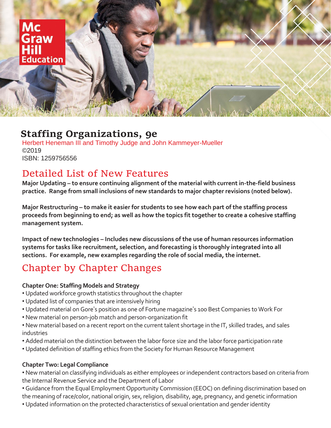

### **Staffing Organizations, 9e**

Herbert Heneman III and Timothy Judge and John Kammeyer-Mueller ©2019 ISBN: 1259756556

## Detailed List of New Features

**Major Updating – to ensure continuing alignment of the material with current in-the-field business practice. Range from small inclusions of new standards to major chapter revisions (noted below).** 

**Major Restructuring – to make it easier for students to see how each part of the staffing process proceeds from beginning to end; as well as how the topics fit together to create a cohesive staffing management system.**

**Impact of new technologies – Includes new discussions of the use of human resources information systems for tasks like recruitment, selection, and forecasting is thoroughly integrated into all sections. For example, new examples regarding the role of social media, the internet.** 

# Chapter by Chapter Changes

#### **Chapter One: Staffing Models and Strategy**

- Updated workforce growth statistics throughout the chapter
- Updated list of companies that are intensively hiring
- Updated material on Gore's position as one of Fortune magazine's 100 Best Companies to Work For
- New material on person-job match and person-organization fit
- New material based on a recent report on the current talent shortage in the IT, skilled trades, and sales industries
- Added material on the distinction between the labor force size and the labor force participation rate
- Updated definition of staffing ethics from the Society for Human Resource Management

#### **Chapter Two: Legal Compliance**

• New material on classifying individuals as either employees or independent contractors based on criteria from the Internal Revenue Service and the Department of Labor

• Guidance from the Equal Employment Opportunity Commission (EEOC) on defining discrimination based on the meaning of race/color, national origin, sex, religion, disability, age, pregnancy, and genetic information

• Updated information on the protected characteristics of sexual orientation and gender identity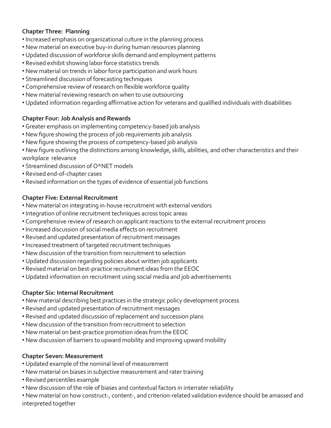#### **Chapter Three: Planning**

- •Increased emphasis on organizational culture in the planning process
- New material on executive buy-in during human resources planning
- Updated discussion of workforce skills demand and employment patterns
- Revised exhibit showing labor force statistics trends
- New material on trends in labor force participation and work hours
- Streamlined discussion of forecasting techniques
- Comprehensive review of research on flexible workforce quality
- New material reviewing research on when to use outsourcing
- Updated information regarding affirmative action for veterans and qualified individuals with disabilities

#### **Chapter Four: Job Analysis and Rewards**

- Greater emphasis on implementing competency-based job analysis
- New figure showing the process of job requirements job analysis
- New figure showing the process of competency-based job analysis
- New figure outlining the distinctions among knowledge, skills, abilities, and other characteristics and their workplace relevance
- Streamlined discussion of O\*NET models
- Revised end-of-chapter cases
- Revised information on the types of evidence of essential job functions

#### **Chapter Five: External Recruitment**

- New material on integrating in-house recruitment with external vendors
- •Integration of online recruitment techniques across topic areas
- Comprehensive review of research on applicant reactions to the external recruitment process
- •Increased discussion of social media effects on recruitment
- Revised and updated presentation of recruitment messages
- •Increased treatment of targeted recruitment techniques
- New discussion of the transition from recruitment to selection
- Updated discussion regarding policies about written job applicants
- Revised material on best-practice recruitment ideas from the EEOC
- Updated information on recruitment using social media and job advertisements

#### **Chapter Six: Internal Recruitment**

- New material describing best practices in the strategic policy development process
- Revised and updated presentation of recruitment messages
- Revised and updated discussion of replacement and succession plans
- New discussion of the transition from recruitment to selection
- New material on best-practice promotion ideas from the EEOC
- New discussion of barriers to upward mobility and improving upward mobility

#### **Chapter Seven: Measurement**

- Updated example of the nominal level of measurement
- New material on biases in subjective measurement and rater training
- Revised percentiles example
- New discussion of the role of biases and contextual factors in interrater reliability
- New material on how construct-, content-, and criterion-related validation evidence should be amassed and interpreted together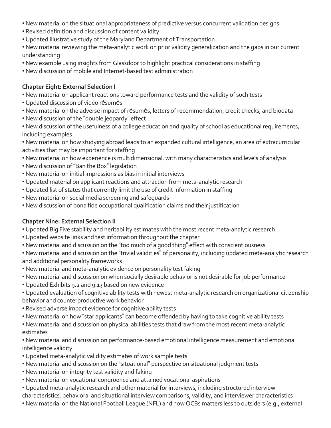- New material on the situational appropriateness of predictive versus concurrent validation designs
- Revised definition and discussion of content validity
- Updated illustrative study of the Maryland Department of Transportation
- New material reviewing the meta-analytic work on prior validity generalization and the gaps in our current understanding
- New example using insights from Glassdoor to highlight practical considerations in staffing
- New discussion of mobile and Internet-based test administration

#### **Chapter Eight: External Selection I**

- New material on applicant reactions toward performance tests and the validity of such tests
- Updated discussion of video résumés
- New material on the adverse impact of résumés, letters of recommendation, credit checks, and biodata
- New discussion of the "double jeopardy" effect

• New discussion of the usefulness of a college education and quality of school as educational requirements, including examples

• New material on how studying abroad leads to an expanded cultural intelligence, an area of extracurricular activities that may be important for staffing

- New material on how experience is multidimensional, with many characteristics and levels of analysis
- New discussion of "Ban the Box" legislation
- New material on initial impressions as bias in initial interviews
- Updated material on applicant reactions and attraction from meta-analytic research
- Updated list of states that currently limit the use of credit information in staffing
- New material on social media screening and safeguards
- New discussion of bona fide occupational qualification claims and their justification

#### **Chapter Nine: External Selection II**

- Updated Big Five stability and heritability estimates with the most recent meta-analytic research
- Updated website links and test information throughout the chapter
- New material and discussion on the "too much of a good thing" effect with conscientiousness
- New material and discussion on the "trivial validities" of personality, including updated meta-analytic research and additional personality frameworks
- New material and meta-analytic evidence on personality test faking
- New material and discussion on when socially desirable behavior is not desirable for job performance
- Updated Exhibits 9.2 and 9.13 based on new evidence
- Updated evaluation of cognitive ability tests with newest meta-analytic research on organizational citizenship behavior and counterproductive work behavior
- Revised adverse impact evidence for cognitive ability tests
- New material on how "star applicants" can become offended by having to take cognitive ability tests
- New material and discussion on physical abilities tests that draw from the most recent meta-analytic estimates

• New material and discussion on performance-based emotional intelligence measurement and emotional intelligence validity

- Updated meta-analytic validity estimates of work sample tests
- New material and discussion on the "situational" perspective on situational judgment tests
- New material on integrity test validity and faking
- New material on vocational congruence and attained vocational aspirations
- Updated meta-analytic research and other material for interviews, including structured interview
- characteristics, behavioral and situational interview comparisons, validity, and interviewer characteristics
- New material on the National Football League (NFL) and how OCBs matters less to outsiders (e.g., external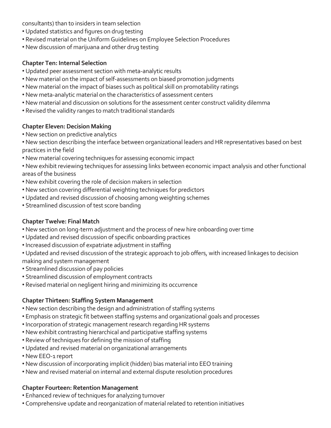consultants) than to insiders in team selection

- Updated statistics and figures on drug testing
- Revised material on the Uniform Guidelines on Employee Selection Procedures
- New discussion of marijuana and other drug testing

#### **Chapter Ten: Internal Selection**

- Updated peer assessment section with meta-analytic results
- New material on the impact of self-assessments on biased promotion judgments
- New material on the impact of biases such as political skill on promotability ratings
- New meta-analytic material on the characteristics of assessment centers
- New material and discussion on solutions for the assessment center construct validity dilemma
- Revised the validity ranges to match traditional standards

#### **Chapter Eleven: Decision Making**

- New section on predictive analytics
- New section describing the interface between organizational leaders and HR representatives based on best practices in the field
- New material covering techniques for assessing economic impact
- New exhibit reviewing techniques for assessing links between economic impact analysis and other functional areas of the business
- New exhibit covering the role of decision makers in selection
- New section covering differential weighting techniques for predictors
- Updated and revised discussion of choosing among weighting schemes
- Streamlined discussion of test score banding

#### **Chapter Twelve: Final Match**

- New section on long-term adjustment and the process of new hire onboarding over time
- Updated and revised discussion of specific onboarding practices
- •Increased discussion of expatriate adjustment in staffing
- Updated and revised discussion of the strategic approach to job offers, with increased linkages to decision making and system management
- Streamlined discussion of pay policies
- Streamlined discussion of employment contracts
- Revised material on negligent hiring and minimizing its occurrence

#### **Chapter Thirteen: Staffing System Management**

- New section describing the design and administration of staffing systems
- Emphasis on strategic fit between staffing systems and organizational goals and processes
- •Incorporation of strategic management research regarding HR systems
- New exhibit contrasting hierarchical and participative staffing systems
- Review of techniques for defining the mission of staffing
- Updated and revised material on organizational arrangements
- New EEO-1 report
- New discussion of incorporating implicit (hidden) bias material into EEO training
- New and revised material on internal and external dispute resolution procedures

#### **Chapter Fourteen: Retention Management**

- Enhanced review of techniques for analyzing turnover
- Comprehensive update and reorganization of material related to retention initiatives